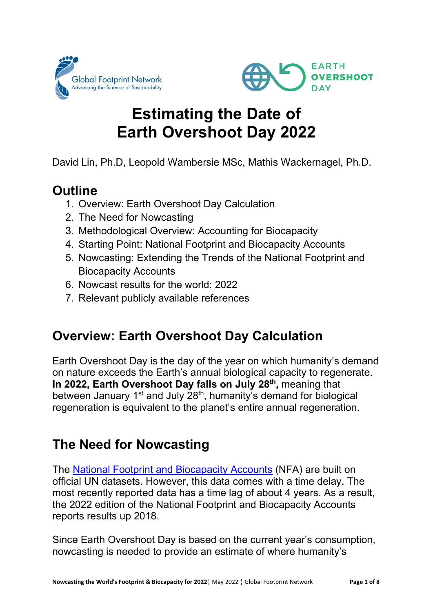



# **Estimating the Date of Earth Overshoot Day 2022**

David Lin, Ph.D, Leopold Wambersie MSc, Mathis Wackernagel, Ph.D.

## **Outline**

- 1. Overview: Earth Overshoot Day Calculation
- 2. The Need for Nowcasting
- 3. Methodological Overview: Accounting for Biocapacity
- 4. Starting Point: National Footprint and Biocapacity Accounts
- 5. Nowcasting: Extending the Trends of the National Footprint and Biocapacity Accounts
- 6. Nowcast results for the world: 2022
- 7. Relevant publicly available references

# **Overview: Earth Overshoot Day Calculation**

Earth Overshoot Day is the day of the year on which humanity's demand on nature exceeds the Earth's annual biological capacity to regenerate. **In 2022, Earth Overshoot Day falls on July 28th,** meaning that between January  $1<sup>st</sup>$  and July  $28<sup>th</sup>$ , humanity's demand for biological regeneration is equivalent to the planet's entire annual regeneration.

# **The Need for Nowcasting**

The [National Footprint and Biocapacity Accounts](https://www.footprintnetwork.org/our-work/ecological-footprint/) (NFA) are built on official UN datasets. However, this data comes with a time delay. The most recently reported data has a time lag of about 4 years. As a result, the 2022 edition of the National Footprint and Biocapacity Accounts reports results up 2018.

Since Earth Overshoot Day is based on the current year's consumption, nowcasting is needed to provide an estimate of where humanity's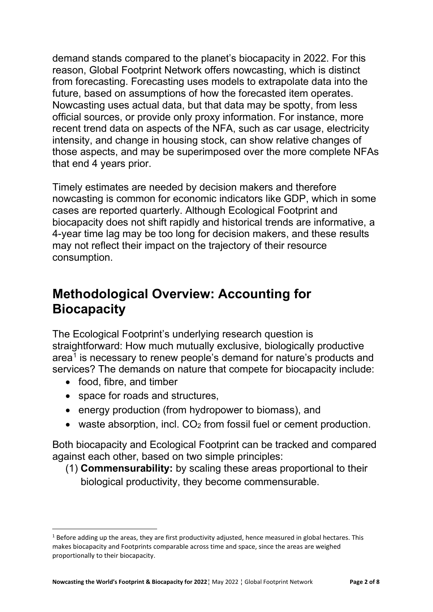demand stands compared to the planet's biocapacity in 2022. For this reason, Global Footprint Network offers nowcasting, which is distinct from forecasting. Forecasting uses models to extrapolate data into the future, based on assumptions of how the forecasted item operates. Nowcasting uses actual data, but that data may be spotty, from less official sources, or provide only proxy information. For instance, more recent trend data on aspects of the NFA, such as car usage, electricity intensity, and change in housing stock, can show relative changes of those aspects, and may be superimposed over the more complete NFAs that end 4 years prior.

Timely estimates are needed by decision makers and therefore nowcasting is common for economic indicators like GDP, which in some cases are reported quarterly. Although Ecological Footprint and biocapacity does not shift rapidly and historical trends are informative, a 4-year time lag may be too long for decision makers, and these results may not reflect their impact on the trajectory of their resource consumption.

## **Methodological Overview: Accounting for Biocapacity**

The Ecological Footprint's underlying research question is straightforward: How much mutually exclusive, biologically productive area<sup>[1](#page-1-0)</sup> is necessary to renew people's demand for nature's products and services? The demands on nature that compete for biocapacity include:

- food, fibre, and timber
- space for roads and structures,
- energy production (from hydropower to biomass), and
- waste absorption, incl.  $CO<sub>2</sub>$  from fossil fuel or cement production.

Both biocapacity and Ecological Footprint can be tracked and compared against each other, based on two simple principles:

(1) **Commensurability:** by scaling these areas proportional to their biological productivity, they become commensurable.

<span id="page-1-0"></span> $1$  Before adding up the areas, they are first productivity adjusted, hence measured in global hectares. This makes biocapacity and Footprints comparable across time and space, since the areas are weighed proportionally to their biocapacity.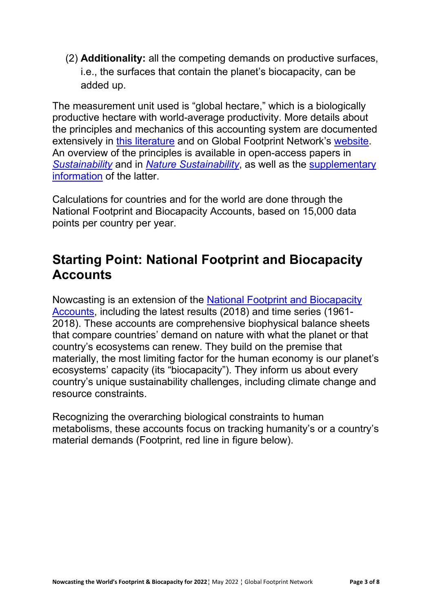(2) **Additionality:** all the competing demands on productive surfaces, i.e., the surfaces that contain the planet's biocapacity, can be added up.

The measurement unit used is "global hectare," which is a biologically productive hectare with world-average productivity. More details about the principles and mechanics of this accounting system are documented extensively in [this literature](https://www.footprintnetwork.org/content/images/NFA%20Method%20Paper%202011%20Submitted%20for%20Publication.pdf) and on Global Footprint Network's [website.](https://www.footprintnetwork.org/) An overview of the principles is available in open-access papers in *[Sustainability](https://www.mdpi.com/2071-1050/11/7/2164)* and in *[Nature Sustainability](https://www.nature.com/articles/s41893-021-00708-4)*, as well as the [supplementary](https://static-content.springer.com/esm/art%3A10.1038%2Fs41893-021-00708-4/MediaObjects/41893_2021_708_MOESM1_ESM.pdf)  [information](https://static-content.springer.com/esm/art%3A10.1038%2Fs41893-021-00708-4/MediaObjects/41893_2021_708_MOESM1_ESM.pdf) of the latter.

Calculations for countries and for the world are done through the National Footprint and Biocapacity Accounts, based on 15,000 data points per country per year.

#### **Starting Point: National Footprint and Biocapacity Accounts**

Nowcasting is an extension of the [National Footprint and Biocapacity](https://www.footprintnetwork.org/our-work/ecological-footprint/)  [Accounts,](https://www.footprintnetwork.org/our-work/ecological-footprint/) including the latest results (2018) and time series (1961- 2018). These accounts are comprehensive biophysical balance sheets that compare countries' demand on nature with what the planet or that country's ecosystems can renew. They build on the premise that materially, the most limiting factor for the human economy is our planet's ecosystems' capacity (its "biocapacity"). They inform us about every country's unique sustainability challenges, including climate change and resource constraints.

Recognizing the overarching biological constraints to human metabolisms, these accounts focus on tracking humanity's or a country's material demands (Footprint, red line in figure below).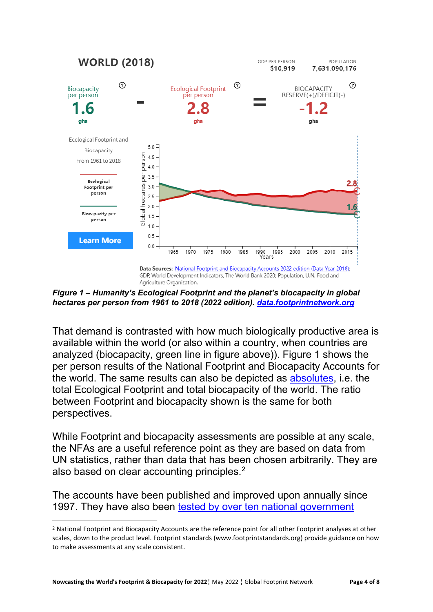

*Figure 1 – Humanity's Ecological Footprint and the planet's biocapacity in global hectares per person from 1961 to 2018 (2022 edition). [data.footprintnetwork.org](http://data.footprintnetwork.org/)*

That demand is contrasted with how much biologically productive area is available within the world (or also within a country, when countries are analyzed (biocapacity, green line in figure above)). Figure 1 shows the per person results of the National Footprint and Biocapacity Accounts for the world. The same results can also be depicted as [absolutes,](https://data.footprintnetwork.org/#/countryTrends?type=BCtot,EFCtot&cn=5001) i.e. the total Ecological Footprint and total biocapacity of the world. The ratio between Footprint and biocapacity shown is the same for both perspectives.

While Footprint and biocapacity assessments are possible at any scale, the NFAs are a useful reference point as they are based on data from UN statistics, rather than data that has been chosen arbitrarily. They are also based on clear accounting principles.<sup>2</sup>

The accounts have been published and improved upon annually since 1997. They have also been [tested by over ten national government](https://www.footprintnetwork.org/our-work/countries/) 

<span id="page-3-0"></span><sup>2</sup> National Footprint and Biocapacity Accounts are the reference point for all other Footprint analyses at other scales, down to the product level. Footprint standards (www.footprintstandards.org) provide guidance on how to make assessments at any scale consistent.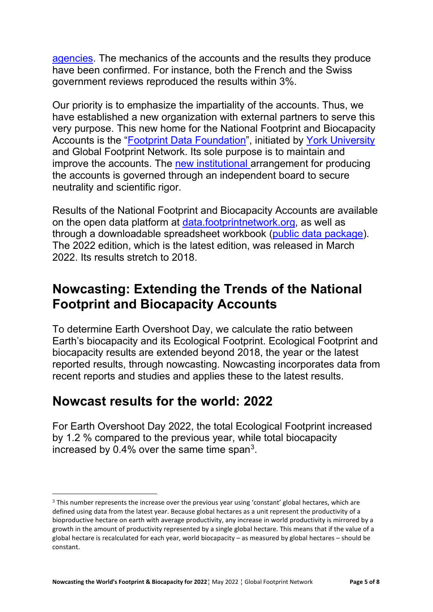[agencies.](https://www.footprintnetwork.org/our-work/countries/) The mechanics of the accounts and the results they produce have been confirmed. For instance, both the French and the Swiss government reviews reproduced the results within 3%.

Our priority is to emphasize the impartiality of the accounts. Thus, we have established a new organization with external partners to serve this very purpose. This new home for the National Footprint and Biocapacity Accounts is the ["Footprint Data Foundation"](http://www.fodafo.org/), initiated by [York University](https://footprint.info.yorku.ca/) and Global Footprint Network. Its sole purpose is to maintain and improve the accounts. The [new institutional a](https://www.footprintnetwork.org/footprint-initiative-york/)rrangement for producing the accounts is governed through an independent board to secure neutrality and scientific rigor.

Results of the National Footprint and Biocapacity Accounts are available on the open data platform at [data.footprintnetwork.org,](http://data.footprintnetwork.org/#/) as well as through a downloadable spreadsheet workbook [\(public data package\)](http://www.footprintnetwork.org/licenses/public-data-package-free). The 2022 edition, which is the latest edition, was released in March 2022. Its results stretch to 2018.

#### **Nowcasting: Extending the Trends of the National Footprint and Biocapacity Accounts**

To determine Earth Overshoot Day, we calculate the ratio between Earth's biocapacity and its Ecological Footprint. Ecological Footprint and biocapacity results are extended beyond 2018, the year or the latest reported results, through nowcasting. Nowcasting incorporates data from recent reports and studies and applies these to the latest results.

#### **Nowcast results for the world: 2022**

For Earth Overshoot Day 2022, the total Ecological Footprint increased by 1.2 % compared to the previous year, while total biocapacity increased by  $0.4\%$  over the same time span<sup>3</sup>.

<span id="page-4-0"></span><sup>3</sup> This number represents the increase over the previous year using 'constant' global hectares, which are defined using data from the latest year. Because global hectares as a unit represent the productivity of a bioproductive hectare on earth with average productivity, any increase in world productivity is mirrored by a growth in the amount of productivity represented by a single global hectare. This means that if the value of a global hectare is recalculated for each year, world biocapacity – as measured by global hectares – should be constant.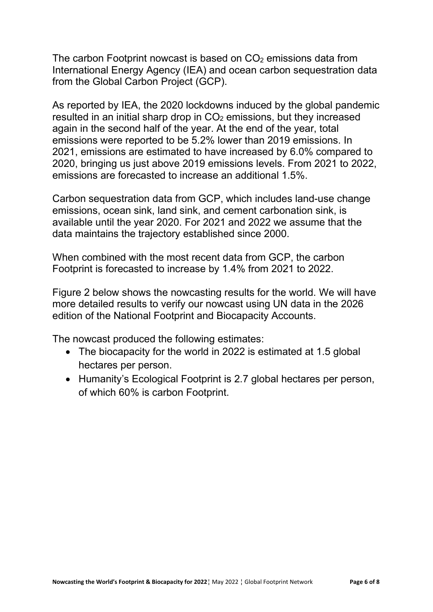The carbon Footprint nowcast is based on  $CO<sub>2</sub>$  emissions data from International Energy Agency (IEA) and ocean carbon sequestration data from the Global Carbon Project (GCP).

As reported by IEA, the 2020 lockdowns induced by the global pandemic resulted in an initial sharp drop in  $CO<sub>2</sub>$  emissions, but they increased again in the second half of the year. At the end of the year, total emissions were reported to be 5.2% lower than 2019 emissions. In 2021, emissions are estimated to have increased by 6.0% compared to 2020, bringing us just above 2019 emissions levels. From 2021 to 2022, emissions are forecasted to increase an additional 1.5%.

Carbon sequestration data from GCP, which includes land-use change emissions, ocean sink, land sink, and cement carbonation sink, is available until the year 2020. For 2021 and 2022 we assume that the data maintains the trajectory established since 2000.

When combined with the most recent data from GCP, the carbon Footprint is forecasted to increase by 1.4% from 2021 to 2022.

Figure 2 below shows the nowcasting results for the world. We will have more detailed results to verify our nowcast using UN data in the 2026 edition of the National Footprint and Biocapacity Accounts.

The nowcast produced the following estimates:

- The biocapacity for the world in 2022 is estimated at 1.5 global hectares per person.
- Humanity's Ecological Footprint is 2.7 global hectares per person, of which 60% is carbon Footprint.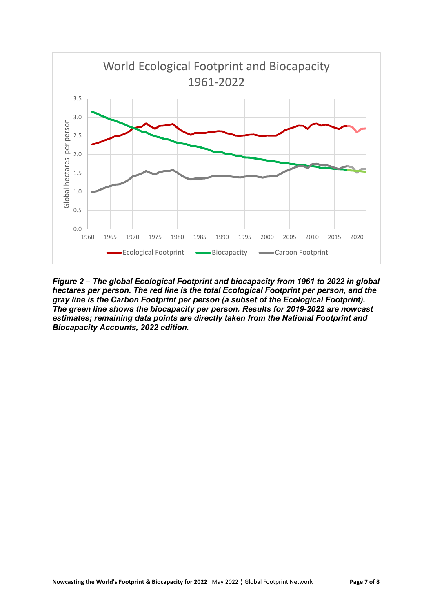

*Figure 2 – The global Ecological Footprint and biocapacity from 1961 to 2022 in global hectares per person. The red line is the total Ecological Footprint per person, and the gray line is the Carbon Footprint per person (a subset of the Ecological Footprint). The green line shows the biocapacity per person. Results for 2019-2022 are nowcast estimates; remaining data points are directly taken from the National Footprint and Biocapacity Accounts, 2022 edition.*